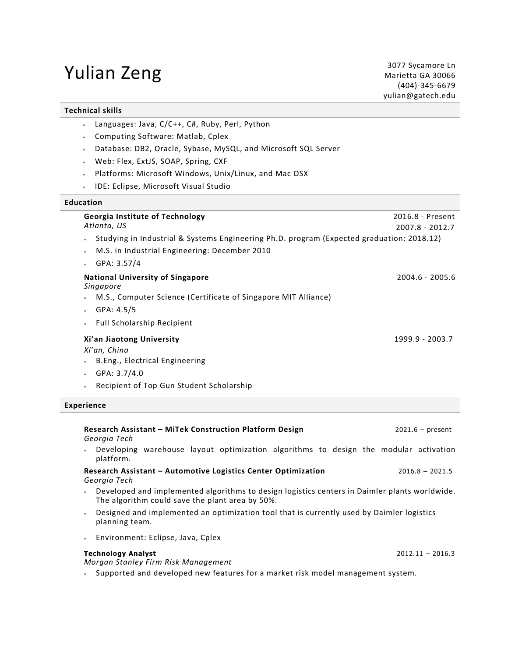# **Yulian Zeng** 3077 Sycamore Ln 3077 Sycamore Ln

#### **Technical skills**

- Languages: Java, C/C++, C#, Ruby, Perl, Python
- Computing Software: Matlab, Cplex
- Database: DB2, Oracle, Sybase, MySQL, and Microsoft SQL Server
- Web: Flex, ExtJS, SOAP, Spring, CXF
- Platforms: Microsoft Windows, Unix/Linux, and Mac OSX
- IDE: Eclipse, Microsoft Visual Studio

#### **Education**

| <b>Georgia Institute of Technology</b><br>Atlanta, US                                                  | 2016.8 - Present |
|--------------------------------------------------------------------------------------------------------|------------------|
|                                                                                                        | 2007.8 - 2012.7  |
| Studying in Industrial & Systems Engineering Ph.D. program (Expected graduation: 2018.12)<br>$\bullet$ |                  |
| M.S. in Industrial Engineering: December 2010<br>$\bullet$                                             |                  |
| GPA: 3.57/4                                                                                            |                  |
| <b>National University of Singapore</b><br>Singapore                                                   | 2004.6 - 2005.6  |
| M.S., Computer Science (Certificate of Singapore MIT Alliance)                                         |                  |
| GPA: 4.5/5<br>$\bullet$                                                                                |                  |
| <b>Full Scholarship Recipient</b><br>٠                                                                 |                  |
| Xi'an Jiaotong University                                                                              | 1999.9 - 2003.7  |
| Xi'an, China                                                                                           |                  |
| B.Eng., Electrical Engineering                                                                         |                  |
| GPA: 3.7/4.0                                                                                           |                  |
| Recipient of Top Gun Student Scholarship<br>$\bullet$                                                  |                  |

#### **Experience**

#### **Research Assistant – MiTek Construction Platform Design** 2021.6 – present *Georgia Tech*

• Developing warehouse layout optimization algorithms to design the modular activation platform.

**Research Assistant – Automotive Logistics Center Optimization** 2016.8 – 2021.5 *Georgia Tech*

- Developed and implemented algorithms to design logistics centers in Daimler plants worldwide. The algorithm could save the plant area by 50%.
- Designed and implemented an optimization tool that is currently used by Daimler logistics planning team.
- Environment: Eclipse, Java, Cplex

### **Technology Analyst** 2012.11 – 2016.3

*Morgan Stanley Firm Risk Management*

• Supported and developed new features for a market risk model management system.